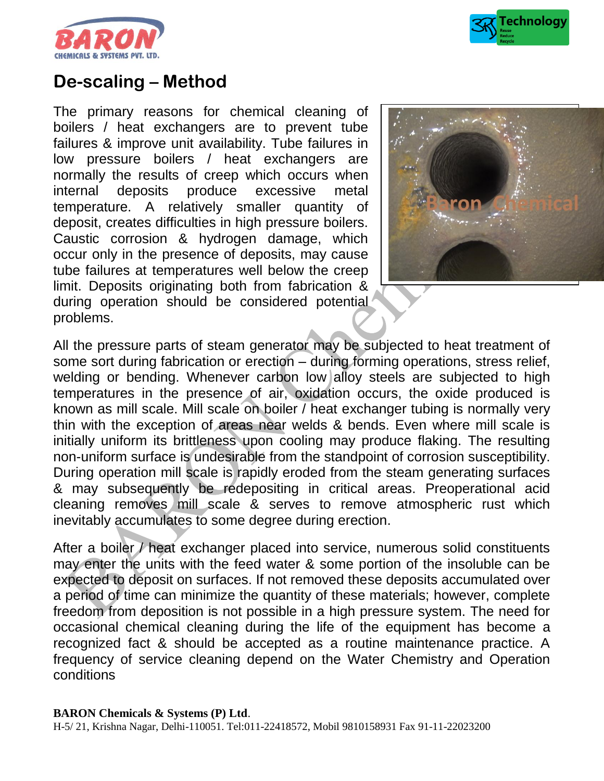



# **De-scaling – Method**

The primary reasons for chemical cleaning of boilers / heat exchangers are to prevent tube failures & improve unit availability. Tube failures in low pressure boilers / heat exchangers are normally the results of creep which occurs when internal deposits produce excessive metal temperature. A relatively smaller quantity of deposit, creates difficulties in high pressure boilers. Caustic corrosion & hydrogen damage, which occur only in the presence of deposits, may cause tube failures at temperatures well below the creep limit. Deposits originating both from fabrication & during operation should be considered potential problems.



All the pressure parts of steam generator may be subjected to heat treatment of some sort during fabrication or erection – during forming operations, stress relief, welding or bending. Whenever carbon low alloy steels are subjected to high temperatures in the presence of air, oxidation occurs, the oxide produced is known as mill scale. Mill scale on boiler / heat exchanger tubing is normally very thin with the exception of areas near welds & bends. Even where mill scale is initially uniform its brittleness upon cooling may produce flaking. The resulting non-uniform surface is undesirable from the standpoint of corrosion susceptibility. During operation mill scale is rapidly eroded from the steam generating surfaces & may subsequently be redepositing in critical areas. Preoperational acid cleaning removes mill scale & serves to remove atmospheric rust which inevitably accumulates to some degree during erection.

After a boiler / heat exchanger placed into service, numerous solid constituents may enter the units with the feed water & some portion of the insoluble can be expected to deposit on surfaces. If not removed these deposits accumulated over a period of time can minimize the quantity of these materials; however, complete freedom from deposition is not possible in a high pressure system. The need for occasional chemical cleaning during the life of the equipment has become a recognized fact & should be accepted as a routine maintenance practice. A frequency of service cleaning depend on the Water Chemistry and Operation conditions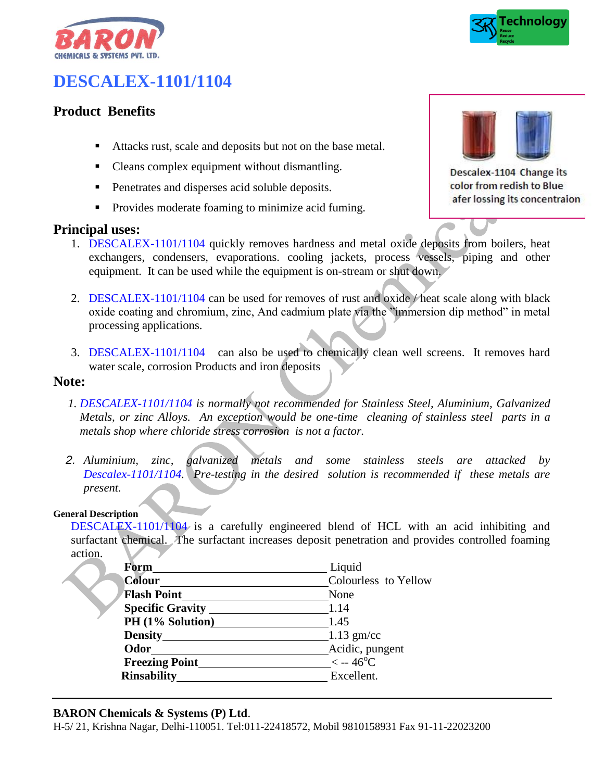



# **DESCALEX-1101/1104**

## **Product Benefits**

- Attacks rust, scale and deposits but not on the base metal.
- Cleans complex equipment without dismantling.
- Penetrates and disperses acid soluble deposits.
- **•** Provides moderate foaming to minimize acid fuming.

#### **Principal uses:**



Descalex-1104 Change its color from redish to Blue afer lossing its concentraion

- 1. DESCALEX-1101/1104 quickly removes hardness and metal oxide deposits from boilers, heat exchangers, condensers, evaporations. cooling jackets, process vessels, piping and other equipment. It can be used while the equipment is on-stream or shut down.
- 2. DESCALEX-1101/1104 can be used for removes of rust and oxide / heat scale along with black oxide coating and chromium, zinc, And cadmium plate via the "immersion dip method" in metal processing applications.
- 3. DESCALEX-1101/1104 can also be used to chemically clean well screens. It removes hard water scale, corrosion Products and iron deposits

### **Note:**

- *1. DESCALEX-1101/1104 is normally not recommended for Stainless Steel, Aluminium, Galvanized Metals, or zinc Alloys. An exception would be one-time cleaning of stainless steel parts in a metals shop where chloride stress corrosion is not a factor.*
- *2. Aluminium, zinc, galvanized metals and some stainless steels are attacked by Descalex-1101/1104. Pre-testing in the desired solution is recommended if these metals are present.*

#### **General Description**

DESCALEX-1101/1104 is a carefully engineered blend of HCL with an acid inhibiting and surfactant chemical. The surfactant increases deposit penetration and provides controlled foaming action.

| Form                    | Liquid               |  |  |
|-------------------------|----------------------|--|--|
| Colour                  | Colourless to Yellow |  |  |
| <b>Flash Point</b>      | None                 |  |  |
| <b>Specific Gravity</b> | 1.14                 |  |  |
| PH (1% Solution)        | 1.45                 |  |  |
| <b>Density</b>          | $1.13$ gm/cc         |  |  |
| Odor                    | Acidic, pungent      |  |  |
| <b>Freezing Point</b>   | $<-46^{\circ}C$      |  |  |
| <b>Rinsability</b>      | Excellent.           |  |  |

#### **BARON Chemicals & Systems (P) Ltd**.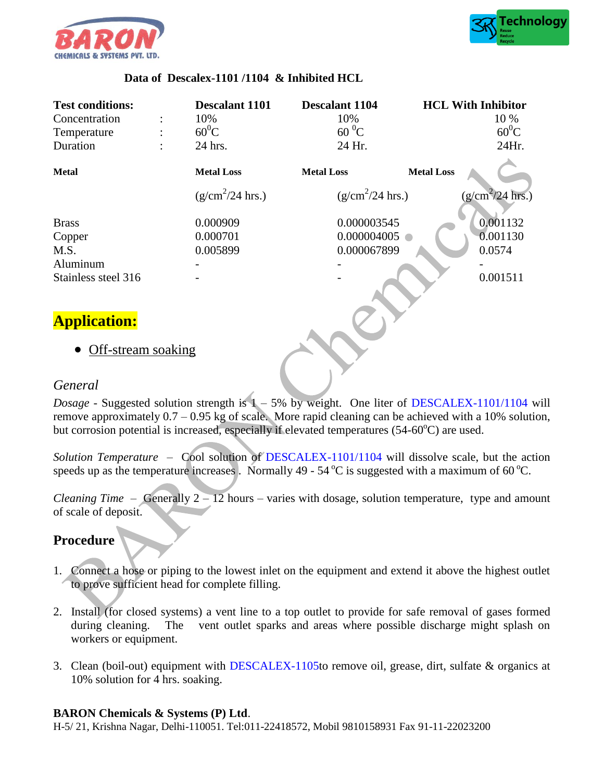



#### **Data of Descalex-1101 /1104 & Inhibited HCL**

| <b>Test conditions:</b> | <b>Descalant 1101</b> | <b>Descalant 1104</b> |                   | <b>HCL With Inhibitor</b> |
|-------------------------|-----------------------|-----------------------|-------------------|---------------------------|
| Concentration           | 10%                   | 10%                   |                   | 10 %                      |
| Temperature             | $60^0C$               | $60^{\,0}$ C          |                   | $60^0C$                   |
| Duration                | 24 hrs.               | 24 Hr.                |                   | 24Hr.                     |
| <b>Metal</b>            | <b>Metal Loss</b>     | <b>Metal Loss</b>     | <b>Metal Loss</b> |                           |
|                         | $(g/cm^2/24$ hrs.)    | $(g/cm^2/24$ hrs.)    |                   | $(g/cm^2/24$ hrs.)        |
| <b>Brass</b>            | 0.000909              | 0.000003545           |                   | 0.001132                  |
| Copper                  | 0.000701              | 0.000004005           |                   | 0.001130                  |
| M.S.                    | 0.005899              | 0.000067899           |                   | 0.0574                    |
| Aluminum                |                       |                       |                   |                           |
| Stainless steel 316     |                       |                       |                   | 0.001511                  |

## **Application:**

• Off-stream soaking

### *General*

*Dosage -* Suggested solution strength is 1 – 5% by weight. One liter of DESCALEX-1101/1104 will remove approximately 0.7 – 0.95 kg of scale. More rapid cleaning can be achieved with a 10% solution, but corrosion potential is increased, especially if elevated temperatures  $(54-60^{\circ}C)$  are used.

*Solution Temperature* – Cool solution of DESCALEX-1101/1104 will dissolve scale, but the action speeds up as the temperature increases . Normally 49 -  $54^{\circ}$ C is suggested with a maximum of 60  $^{\circ}$ C.

*Cleaning Time* – Generally 2 – 12 hours – varies with dosage, solution temperature, type and amount of scale of deposit.

## **Procedure**

- 1. Connect a hose or piping to the lowest inlet on the equipment and extend it above the highest outlet to prove sufficient head for complete filling.
- 2. Install (for closed systems) a vent line to a top outlet to provide for safe removal of gases formed during cleaning. The vent outlet sparks and areas where possible discharge might splash on workers or equipment.
- 3. Clean (boil-out) equipment with DESCALEX-1105to remove oil, grease, dirt, sulfate & organics at 10% solution for 4 hrs. soaking.

#### **BARON Chemicals & Systems (P) Ltd**.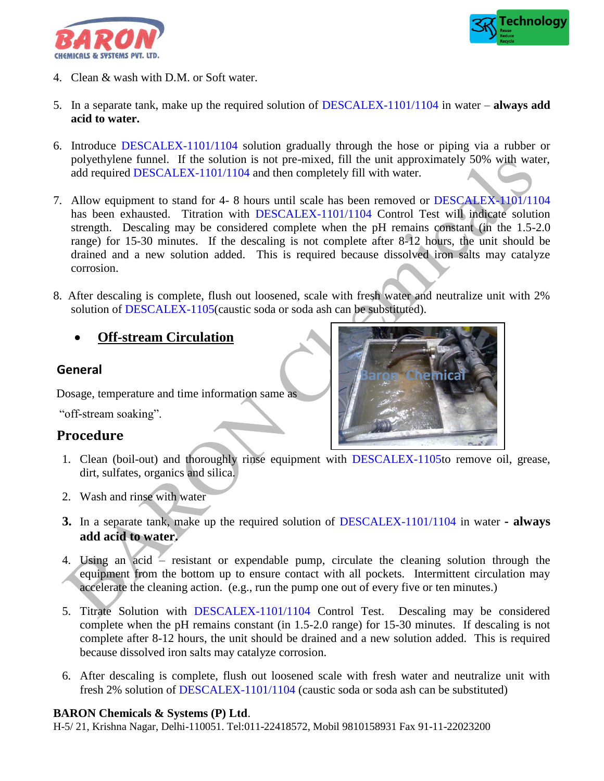



- 4. Clean & wash with D.M. or Soft water.
- 5. In a separate tank, make up the required solution of DESCALEX-1101/1104 in water **always add acid to water.**
- 6. Introduce DESCALEX-1101/1104 solution gradually through the hose or piping via a rubber or polyethylene funnel. If the solution is not pre-mixed, fill the unit approximately 50% with water, add required DESCALEX-1101/1104 and then completely fill with water.
- 7. Allow equipment to stand for 4- 8 hours until scale has been removed or DESCALEX-1101/1104 has been exhausted. Titration with DESCALEX-1101/1104 Control Test will indicate solution strength. Descaling may be considered complete when the pH remains constant (in the 1.5-2.0 range) for 15-30 minutes. If the descaling is not complete after 8-12 hours, the unit should be drained and a new solution added. This is required because dissolved iron salts may catalyze corrosion.
- 8. After descaling is complete, flush out loosened, scale with fresh water and neutralize unit with 2% solution of DESCALEX-1105(caustic soda or soda ash can be substituted).
	- **Off-stream Circulation**

## **General**

Dosage, temperature and time information same as

"off-stream soaking".

## **Procedure**



- 1. Clean (boil-out) and thoroughly rinse equipment with DESCALEX-1105to remove oil, grease, dirt, sulfates, organics and silica.
- 2. Wash and rinse with water
- **3.** In a separate tank, make up the required solution of DESCALEX-1101/1104 in water **- always add acid to water.**
- 4. Using an acid resistant or expendable pump, circulate the cleaning solution through the equipment from the bottom up to ensure contact with all pockets. Intermittent circulation may accelerate the cleaning action. (e.g., run the pump one out of every five or ten minutes.)
- 5. Titrate Solution with DESCALEX-1101/1104 Control Test. Descaling may be considered complete when the pH remains constant (in 1.5-2.0 range) for 15-30 minutes. If descaling is not complete after 8-12 hours, the unit should be drained and a new solution added. This is required because dissolved iron salts may catalyze corrosion.
- 6. After descaling is complete, flush out loosened scale with fresh water and neutralize unit with fresh 2% solution of DESCALEX-1101/1104 (caustic soda or soda ash can be substituted)

#### **BARON Chemicals & Systems (P) Ltd**.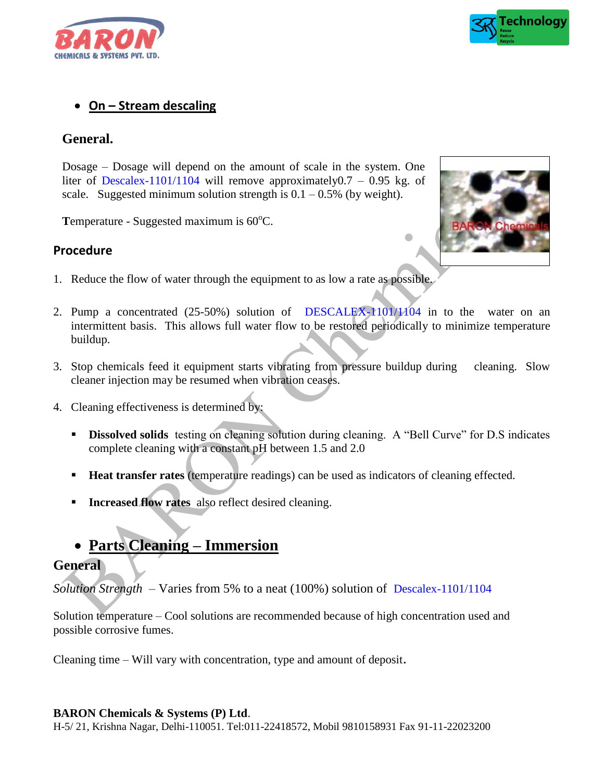



## **On – Stream descaling**

## **General.**

Dosage – Dosage will depend on the amount of scale in the system. One liter of Descalex-1101/1104 will remove approximately  $0.7 - 0.95$  kg. of scale. Suggested minimum solution strength is  $0.1 - 0.5\%$  (by weight).

**T**emperature - Suggested maximum is 60<sup>o</sup>C.

## **Procedure**

- 1. Reduce the flow of water through the equipment to as low a rate as possible.
- 2. Pump a concentrated (25-50%) solution of DESCALEX-1101/1104 in to the water on an intermittent basis. This allows full water flow to be restored periodically to minimize temperature buildup.
- 3. Stop chemicals feed it equipment starts vibrating from pressure buildup during cleaning. Slow cleaner injection may be resumed when vibration ceases.
- 4. Cleaning effectiveness is determined by:
	- **Dissolved solids** testing on cleaning solution during cleaning. A "Bell Curve" for D.S indicates complete cleaning with a constant pH between 1.5 and 2.0
	- **Heat transfer rates (temperature readings) can be used as indicators of cleaning effected.**
	- **Increased flow rates** also reflect desired cleaning.
	- **Parts Cleaning – Immersion**

## **General**

*Solution Strength* – Varies from 5% to a neat (100%) solution of Descalex-1101/1104

Solution temperature – Cool solutions are recommended because of high concentration used and possible corrosive fumes.

Cleaning time – Will vary with concentration, type and amount of deposit.

#### **BARON Chemicals & Systems (P) Ltd**.

H-5/ 21, Krishna Nagar, Delhi-110051. Tel:011-22418572, Mobil 9810158931 Fax 91-11-22023200



 $\bullet$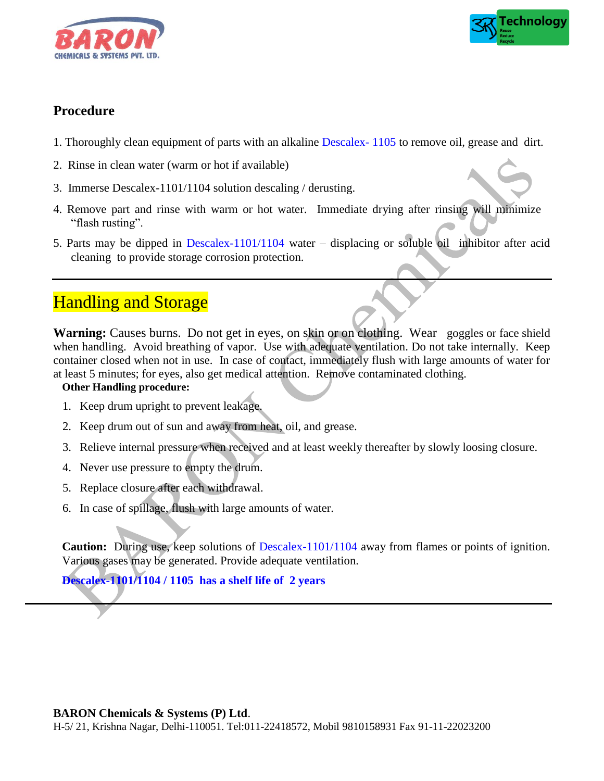



## **Procedure**

- 1. Thoroughly clean equipment of parts with an alkaline Descalex- 1105 to remove oil, grease and dirt.
- 2. Rinse in clean water (warm or hot if available)
- 3. Immerse Descalex-1101/1104 solution descaling / derusting.
- 4. Remove part and rinse with warm or hot water. Immediate drying after rinsing will minimize "flash rusting".
- 5. Parts may be dipped in Descalex-1101/1104 water displacing or soluble oil inhibitor after acid cleaning to provide storage corrosion protection.

# **Handling and Storage**

Warning: Causes burns. Do not get in eyes, on skin or on clothing. Wear goggles or face shield when handling. Avoid breathing of vapor. Use with adequate ventilation. Do not take internally. Keep container closed when not in use. In case of contact, immediately flush with large amounts of water for at least 5 minutes; for eyes, also get medical attention. Remove contaminated clothing.

### **Other Handling procedure:**

- 1. Keep drum upright to prevent leakage.
- 2. Keep drum out of sun and away from heat, oil, and grease.
- 3. Relieve internal pressure when received and at least weekly thereafter by slowly loosing closure.
- 4. Never use pressure to empty the drum.
- 5. Replace closure after each withdrawal.
- 6. In case of spillage, flush with large amounts of water.

**Caution:** During use, keep solutions of Descalex-1101/1104 away from flames or points of ignition. Various gases may be generated. Provide adequate ventilation.

**Descalex-1101/1104 / 1105 has a shelf life of 2 years**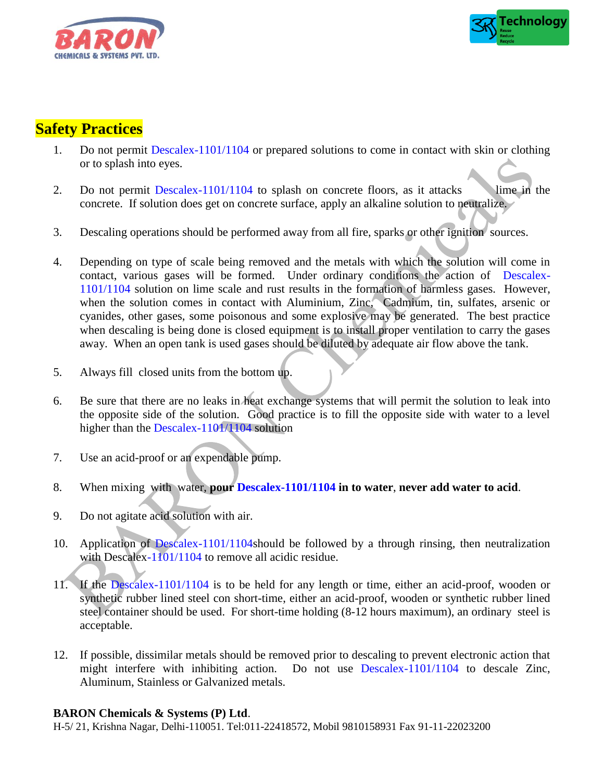



## **Safety Practices**

- 1. Do not permit Descalex-1101/1104 or prepared solutions to come in contact with skin or clothing or to splash into eyes.
- 2. Do not permit Descalex-1101/1104 to splash on concrete floors, as it attacks lime in the concrete. If solution does get on concrete surface, apply an alkaline solution to neutralize.
- 3. Descaling operations should be performed away from all fire, sparks or other ignition sources.
- 4. Depending on type of scale being removed and the metals with which the solution will come in contact, various gases will be formed. Under ordinary conditions the action of Descalex-1101/1104 solution on lime scale and rust results in the formation of harmless gases. However, when the solution comes in contact with Aluminium, Zinc, Cadmium, tin, sulfates, arsenic or cyanides, other gases, some poisonous and some explosive may be generated. The best practice when descaling is being done is closed equipment is to install proper ventilation to carry the gases away. When an open tank is used gases should be diluted by adequate air flow above the tank.
- 5. Always fill closed units from the bottom up.
- 6. Be sure that there are no leaks in heat exchange systems that will permit the solution to leak into the opposite side of the solution. Good practice is to fill the opposite side with water to a level higher than the Descalex-1101/1104 solution
- 7. Use an acid-proof or an expendable pump.
- 8. When mixing with water, **pour Descalex-1101/1104 in to water**, **never add water to acid**.
- 9. Do not agitate acid solution with air.
- 10. Application of Descalex-1101/1104should be followed by a through rinsing, then neutralization with Descalex-1101/1104 to remove all acidic residue.
- 11. If the Descalex-1101/1104 is to be held for any length or time, either an acid-proof, wooden or synthetic rubber lined steel con short-time, either an acid-proof, wooden or synthetic rubber lined steel container should be used. For short-time holding (8-12 hours maximum), an ordinary steel is acceptable.
- 12. If possible, dissimilar metals should be removed prior to descaling to prevent electronic action that might interfere with inhibiting action. Do not use Descalex-1101/1104 to descale Zinc, Aluminum, Stainless or Galvanized metals.

#### **BARON Chemicals & Systems (P) Ltd**.